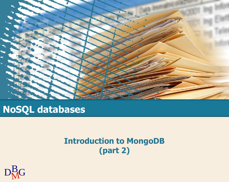

### **NoSQL databases**

#### **Introduction to MongoDB (part 2)**

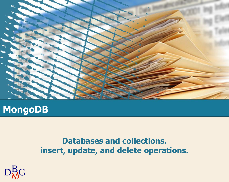

### **MongoDB**

#### **Databases and collections. insert, update, and delete operations.**

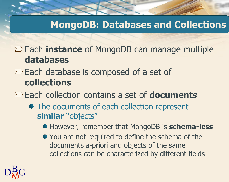Each **instance** of MongoDB can manage multiple **databases**

 $\Sigma$  Each database is composed of a set of **collections**

Each collection contains a set of **documents**

- The documents of each collection represent **similar** "objects"
	- However, remember that MongoDB is **schema-less**
	- You are not required to define the schema of the documents a-priori and objects of the same collections can be characterized by different fields

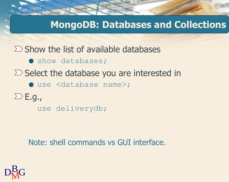$\Sigma$  Show the list of available databases

- **O** show databases;
- $\Sigma$  Select the database you are interested in
	- use <database name>;
- $\sum E. g.$ 
	- use deliverydb;

Note: shell commands vs GUI interface.

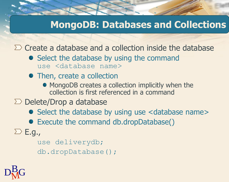$\sum$  Create a database and a collection inside the database

- Select the database by using the command use <database name>
- Then, create a collection
	- MongoDB creates a collection implicitly when the collection is first referenced in a command
- $\sum$  Delete/Drop a database
	- Select the database by using use <database name>
	- Execute the command db.dropDatabase()
- $\sum E. g_{\bullet}$

use deliverydb; db.dropDatabase();

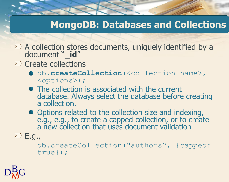- A collection stores documents, uniquely identified by a document "**\_id**"
- $\sum$  Create collections
	- **O** db.createCollection(<collection name>, <options>);
	- The collection is associated with the current database. Always select the database before creating a collection.
	- Options related to the collection size and indexing, e.g., e.g., to create a capped collection, or to create a new collection that uses document validation
- $\sum E.$ g.,

db.createCollection("authors", {capped: true});

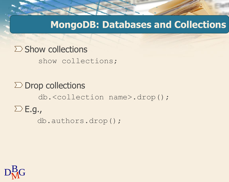$\Sigma$  Show collections show collections;

 $\sum$  Drop collections db.<collection name>.drop();  $\sum E. g.$ db.authors.drop();

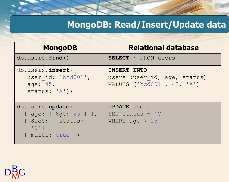#### **MongoDB: Read/Insert/Update data**

| <b>MongoDB</b>                                                                                                      | <b>Relational database</b>                                                       |
|---------------------------------------------------------------------------------------------------------------------|----------------------------------------------------------------------------------|
| db. users.find()                                                                                                    | <b>SELECT</b> * FROM users                                                       |
| db.users.insert({<br>user id: 'bcd001',<br>age: 45,<br>status: $'A'$ })                                             | <b>INSERT INTO</b><br>users (user id, age, status)<br>VALUES ('bcd001', 45, 'A') |
| db.users.update(<br>{ age: { \$gt: 25 } },<br>{ \$set: { status:<br>$\{C^{\dagger}\}\}$ ,<br>$\{$ multi: true $\})$ | <b>UPDATE</b> users<br>SET status = $'C'$<br>WHERE age $> 25$                    |

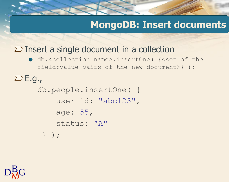#### $\Sigma$  Insert a single document in a collection

● db.<collection name>.insertOne( {<set of the field:value pairs of the new document>} );

 $\sum E. g.$ db.people.insertOne( { user id: "abc123", age: 55, status: "A" } );

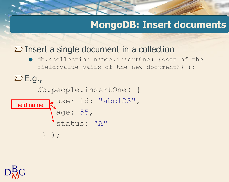#### $\Sigma$  Insert a single document in a collection

db.<collection name>.insertOne( {<set of the field:value pairs of the new document>} );

 $\sum E. g.$ db.people.insertOne( {

```
user id: "abc123",
         age: 55,
          status: "A"
       } );
Field name
```
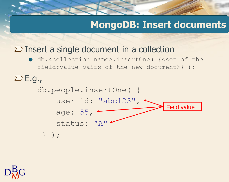#### $\Sigma$  Insert a single document in a collection

● db.<collection name>.insertOne( {<set of the field:value pairs of the new document>} );

 $\sum E. g.$ 



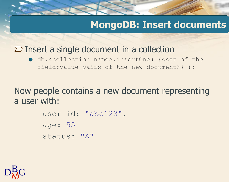#### $\Sigma$  Insert a single document in a collection

db.<collection name>.insertOne( {<set of the field:value pairs of the new document>} );

Now people contains a new document representing a user with:

> user id: "abc123", age: 55 status: "A"

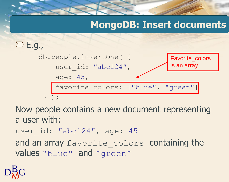

Now people contains a new document representing a user with:

user id: "abc124", age: 45

and an array favorite colors containing the values "blue" and "green"

$$
D_{\rm M}^{\rm B}G
$$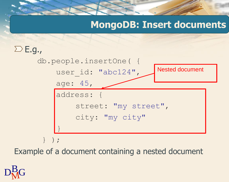

Example of a document containing a nested document

 $D_M^B G$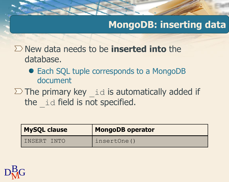### **MongoDB: inserting data**

New data needs to be **inserted into** the database.

- Each SQL tuple corresponds to a MongoDB document
- $\sum$  The primary key  $\exists$  id is automatically added if the id field is not specified.

| <b>MySQL clause</b> | <b>MongoDB operator</b> |
|---------------------|-------------------------|
| INSERT INTO         | insertOne()             |

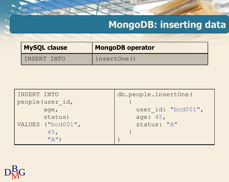## **MongoDB: inserting data**

| <b>MySQL clause</b> | <b>MongoDB operator</b> |
|---------------------|-------------------------|
| INSERT INTO         | insertOne()             |

| INSERT INTO       | db.people.insertOne( |
|-------------------|----------------------|
| people (user id,  |                      |
| age,              | user id: "bcd001",   |
| status)           | age: 45,             |
| VALUES ("bcd001", | status: "A"          |
| 45.               |                      |
| $"A"$ )           |                      |

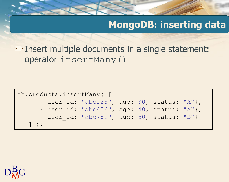### **MongoDB: inserting data**

 $\Sigma$  Insert multiple documents in a single statement: operator insertMany()

```
db.products.insertMany( [
      { user_id: "abc123", age: 30, status: "A"},
      { user_id: "abc456", age: 40, status: "A"},
      { user_id: "abc789", age: 50, status: "B"}
   ] );
```
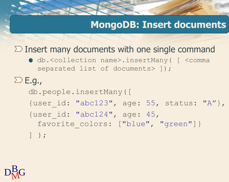#### $\Sigma$  Insert many documents with one single command

● db.<collection name>.insertMany( [<comma separated list of documents> 1);

 $\sum E.$ g., db.people.insertMany([ {user\_id: "abc123", age: 55, status: "A"}, {user\_id: "abc124", age: 45, favorite colors: ["blue", "green"] } ] );

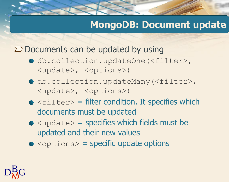#### **MongoDB: Document update**

 $\Sigma$  Documents can be updated by using

- db.collection.updateOne(<filter>, <update>, <options>)
- db.collection.updateMany(<filter>, <update>, <options>)
- $\bullet$  <filter> = filter condition. It specifies which documents must be updated
- $\bullet$  <update> = specifies which fields must be updated and their new values
- $\bullet$  <options> = specific update options

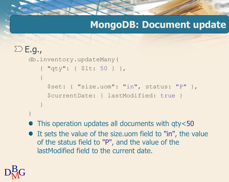#### **MongoDB: Document update**

```
\sum E. g.db.inventory.updateMany(
       { "qty": { $lt: 50 } },
       {
         $set: { "size.uom": "in", status: "P" },
         $currentDate: { lastModified: true }
       }
    )
```
• This operation updates all documents with qty<50

It sets the value of the size.uom field to "in", the value of the status field to "P", and the value of the lastModified field to the current date.

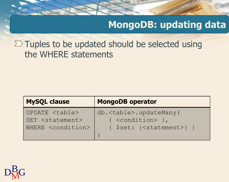### **MongoDB: updating data**

 $\Sigma$  Tuples to be updated should be selected using the WHERE statements

| <b>MySQL clause</b>           | <b>MongoDB operator</b>               |
|-------------------------------|---------------------------------------|
| UPDATE <table></table>        | db. <table>.updateMany(</table>       |
| SET <statement></statement>   | { <condition> },</condition>          |
| WHERE <condition></condition> | $\{$ \$set: $\{$ < statement > $\}$ } |

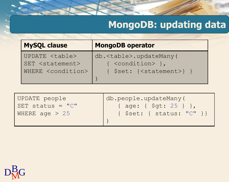# **MongoDB: updating data**

| <b>MySQL clause</b>           | <b>MongoDB operator</b>               |
|-------------------------------|---------------------------------------|
| UPDATE <table></table>        | db. <table>.updateMany(</table>       |
| SET <statement></statement>   | { <condition> },</condition>          |
| WHERE <condition></condition> | $\{$ \$set: $\{$ < statement > $\}$ } |
|                               |                                       |

| UPDATE people      | db.people.updateMany(     |
|--------------------|---------------------------|
| SET status = $"C"$ | { age: { \$gt: 25 } },    |
| WHERE age $> 25$   | { \$set: { status: "C" }} |
|                    |                           |

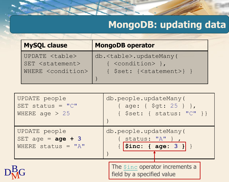# **MongoDB: updating data**

| <b>MySQL clause</b>           | <b>MongoDB operator</b>               |
|-------------------------------|---------------------------------------|
| UPDATE <table></table>        | db. <table>.updateMany(</table>       |
| SET <statement></statement>   | { <condition> },</condition>          |
| WHERE <condition></condition> | $\{$ \$set: $\{$ < statement > $\}$ } |
|                               |                                       |

| UPDATE people        | db.people.updateMany(                                               |
|----------------------|---------------------------------------------------------------------|
| SET status = $"C"$   | { age: { \$gt: 25 } },                                              |
| WHERE age $> 25$     | $\{$ \$set: { status: " $C$ " } }                                   |
| UPDATE people        | db.people.updateMany(                                               |
| SET age = $age + 3$  | $\{$ status: "A" },                                                 |
| WHERE status = $"A"$ | { $  $i$ nc: { age: 3 }} }                                          |
|                      | The <i>Sinc</i> operator increments a<br>field by a specified value |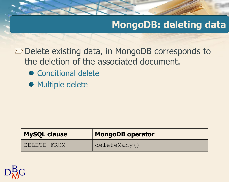### **MongoDB: deleting data**

 $\Sigma$  Delete existing data, in MongoDB corresponds to the deletion of the associated document.

- Conditional delete
- Multiple delete

| <b>MySQL clause</b> | <b>MongoDB operator</b> |
|---------------------|-------------------------|
| DELETE FROM         | deleteMany()            |

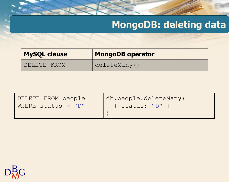# **MongoDB: deleting data**

| <b>MySQL clause</b> | <b>MongoDB operator</b> |
|---------------------|-------------------------|
| DELETE FROM         | deleteMany()            |

| DELETE FROM people   | db.people.deleteMany( |
|----------------------|-----------------------|
| WHERE status = $"D"$ | Status: "D"           |
|                      |                       |

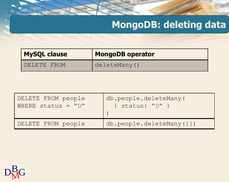# **MongoDB: deleting data**

| <b>MySQL clause</b> | <b>MongoDB operator</b> |
|---------------------|-------------------------|
| DELETE FROM         | deleteMany()            |

| DELETE FROM people | db.people.deleteMany(      |
|--------------------|----------------------------|
| WHERE status = "D" | $\{$ status: " $D"$ }      |
| DELETE FROM people | $db.people.deleteMany({})$ |

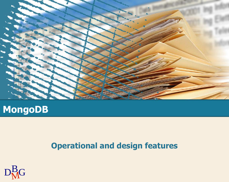

### **MongoDB**

#### **Operational and design features**

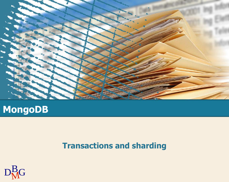

### **MongoDB**

#### **Transactions and sharding**

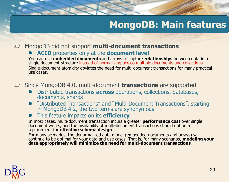MongoDB did not support **multi-document transactions** 

#### **ACID** properties only at the **document level**

You can use **embedded documents** and arrays to capture **relationships** between data in a single document structure instead of normalizing across multiple documents and collections Single-document atomicity obviates the need for multi-document transactions for many practical use cases.

Since MongoDB 4.0, multi-document **transactions** are supported

- Distributed transactions **across** operations, collections, databases, documents, shards
- "Distributed Transactions" and "Multi-Document Transactions", starting in MongoDB 4.2, the two terms are synonymous.
- This feature impacts on its **efficiency**

In most cases, multi-document transaction incurs a greater **performance cost** over single document writes, and the availability of multi-document transactions should not be a replacement for **effective schema design**.

For many scenarios, the denormalized data model (embedded documents and arrays) will continue to be optimal for your data and use cases. That is, for many scenarios, **modeling your data appropriately will minimize the need for multi-document transactions**.

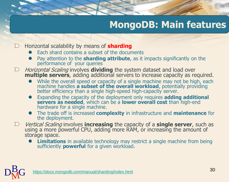#### Horizontal scalability by means of **sharding**

- Each shard contains a subset of the documents
- Pay attention to the **sharding attribute**, as it impacts significantly on the performance of your queries
- Horizontal Scaling involves **dividing** the system dataset and load over  $\sum$ **multiple servers**, adding additional servers to increase capacity as required.
	- While the overall speed or capacity of a single machine may not be high, each machine handles **a subset of the overall workload**, potentially providing better efficiency than a single high-speed high-capacity server.
	- Expanding the capacity of the deployment only requires **adding additional servers as needed**, which can be a **lower overall cost** than high-end hardware for a single machine.
	- The trade off is increased **complexity** in infrastructure and **maintenance** for the deployment.
- Vertical Scaling involves **increasing** the capacity of a **single server**, such as  $\sum$ using a more powerful CPU, adding more RAM, or increasing the amount of storage space.
	- **Limitations** in available technology may restrict a single machine from being sufficiently **powerful** for a given workload.

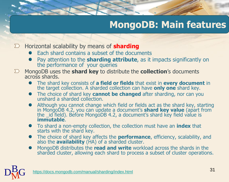- $\sum$  Horizontal scalability by means of **sharding** 
	- $\bullet$  Each shard contains a subset of the documents
	- **P** Pay attention to the **sharding attribute**, as it impacts significantly on the performance of your queries
- MongoDB uses the **shard key** to distribute the **collection**'s documents  $\sum$ across shards.
	- The shard key consists of **a field or fields** that exist in **every document** in the target collection. A sharded collection can have **only one** shard key.
	- The choice of shard key **cannot be changed** after sharding, nor can you unshard a sharded collection.
	- Although you cannot change which field or fields act as the shard key, starting in MongoDB 4.2, you can update a document's **shard key value** (apart from the \_id field). Before MongoDB 4.2, a document's shard key field value is **immutable**.
	- To shard a non-empty collection, the collection must have an **index** that starts with the shard key.
	- The choice of shard key affects the **performance**, efficiency, scalability, and also the **availability** (HA) of a sharded cluster.
	- MongoDB distributes the **read and write** workload across the shards in the sharded cluster, allowing each shard to process a subset of cluster operations.

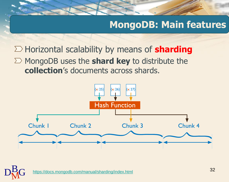Horizontal scalability by means of **sharding**  $\Sigma$  MongoDB uses the **shard key** to distribute the **collection**'s documents across shards.